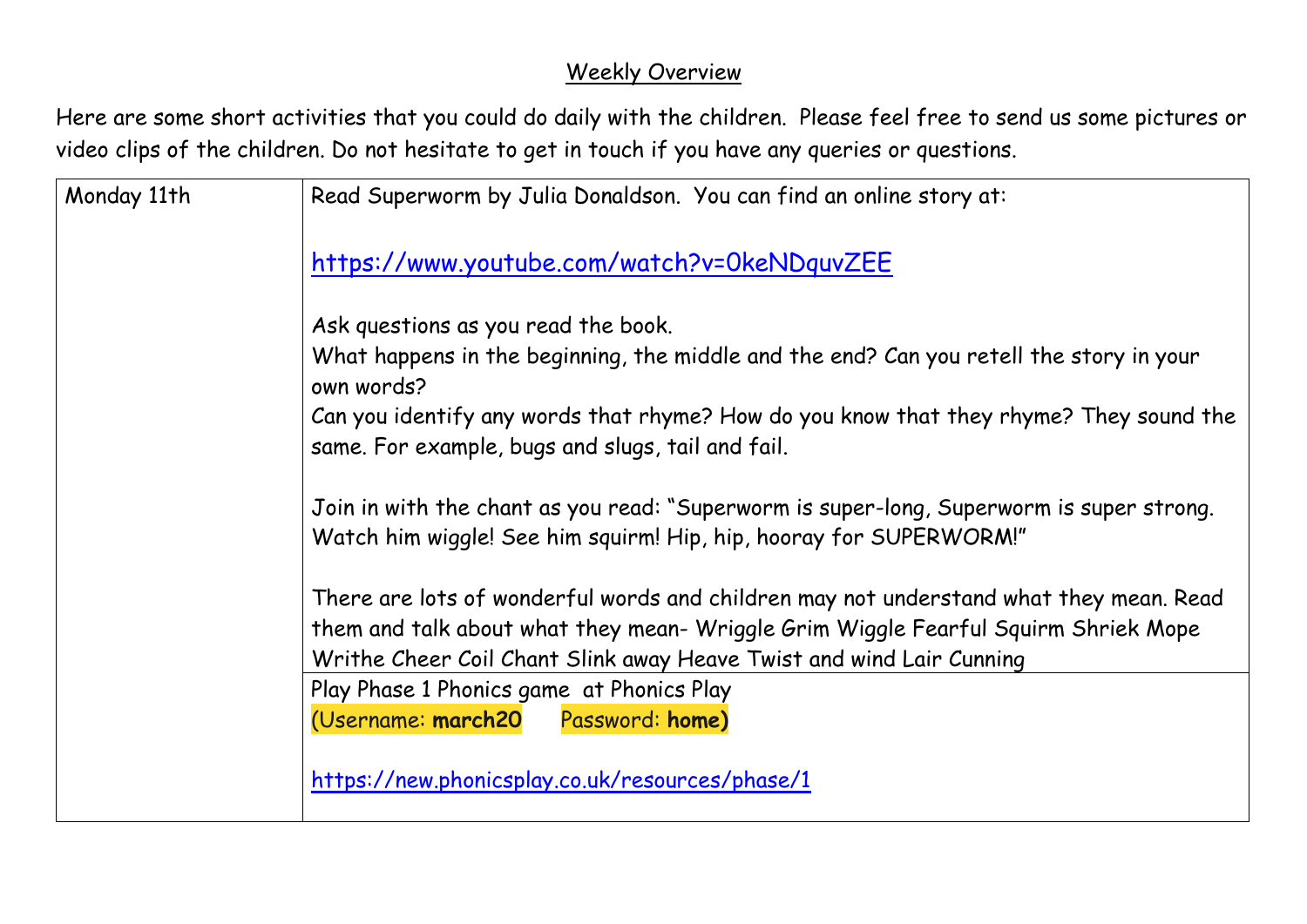## Weekly Overview

Here are some short activities that you could do daily with the children. Please feel free to send us some pictures or video clips of the children. Do not hesitate to get in touch if you have any queries or questions.

| Monday 11th | Read Superworm by Julia Donaldson. You can find an online story at:                                                                                                                                                                                  |
|-------------|------------------------------------------------------------------------------------------------------------------------------------------------------------------------------------------------------------------------------------------------------|
|             | https://www.youtube.com/watch?v=0keNDquvZEE                                                                                                                                                                                                          |
|             | Ask questions as you read the book.                                                                                                                                                                                                                  |
|             | What happens in the beginning, the middle and the end? Can you retell the story in your<br>own words?                                                                                                                                                |
|             | Can you identify any words that rhyme? How do you know that they rhyme? They sound the<br>same. For example, bugs and slugs, tail and fail.                                                                                                          |
|             | Join in with the chant as you read: "Superworm is super-long, Superworm is super strong.<br>Watch him wiggle! See him squirm! Hip, hip, hooray for SUPERWORM!"                                                                                       |
|             | There are lots of wonderful words and children may not understand what they mean. Read<br>them and talk about what they mean- Wriggle Grim Wiggle Fearful Squirm Shriek Mope<br>Writhe Cheer Coil Chant Slink away Heave Twist and wind Lair Cunning |
|             | Play Phase 1 Phonics game at Phonics Play<br>(Username: march20 Password: home)                                                                                                                                                                      |
|             | https://new.phonicsplay.co.uk/resources/phase/1                                                                                                                                                                                                      |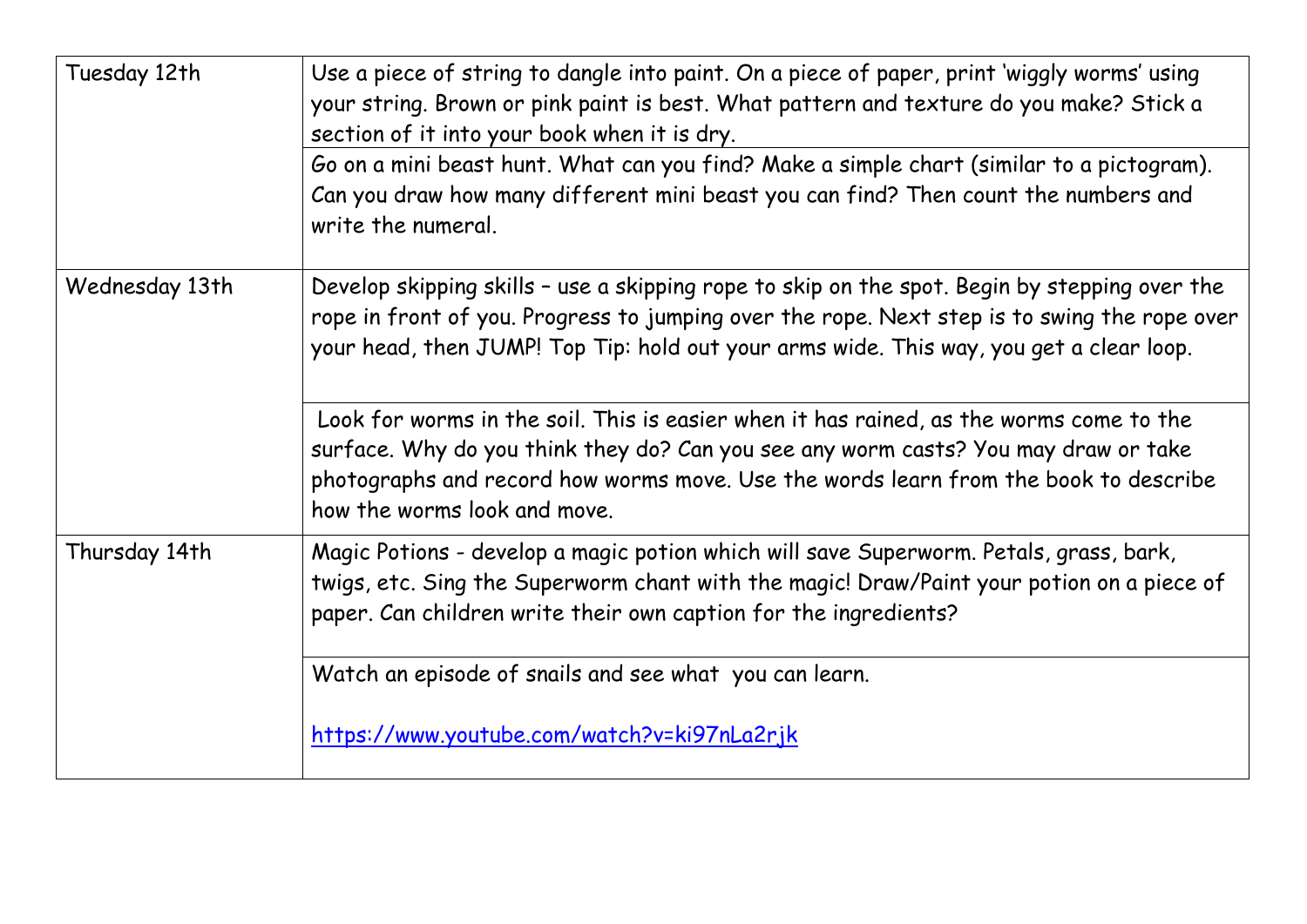| Tuesday 12th   | Use a piece of string to dangle into paint. On a piece of paper, print 'wiggly worms' using<br>your string. Brown or pink paint is best. What pattern and texture do you make? Stick a<br>section of it into your book when it is dry.<br>Go on a mini beast hunt. What can you find? Make a simple chart (similar to a pictogram).<br>Can you draw how many different mini beast you can find? Then count the numbers and |
|----------------|----------------------------------------------------------------------------------------------------------------------------------------------------------------------------------------------------------------------------------------------------------------------------------------------------------------------------------------------------------------------------------------------------------------------------|
|                | write the numeral.                                                                                                                                                                                                                                                                                                                                                                                                         |
| Wednesday 13th | Develop skipping skills - use a skipping rope to skip on the spot. Begin by stepping over the<br>rope in front of you. Progress to jumping over the rope. Next step is to swing the rope over<br>your head, then JUMP! Top Tip: hold out your arms wide. This way, you get a clear loop.                                                                                                                                   |
|                | Look for worms in the soil. This is easier when it has rained, as the worms come to the<br>surface. Why do you think they do? Can you see any worm casts? You may draw or take<br>photographs and record how worms move. Use the words learn from the book to describe<br>how the worms look and move.                                                                                                                     |
| Thursday 14th  | Magic Potions - develop a magic potion which will save Superworm. Petals, grass, bark,<br>twigs, etc. Sing the Superworm chant with the magic! Draw/Paint your potion on a piece of<br>paper. Can children write their own caption for the ingredients?                                                                                                                                                                    |
|                | Watch an episode of snails and see what you can learn.                                                                                                                                                                                                                                                                                                                                                                     |
|                | https://www.youtube.com/watch?v=ki97nLa2rjk                                                                                                                                                                                                                                                                                                                                                                                |